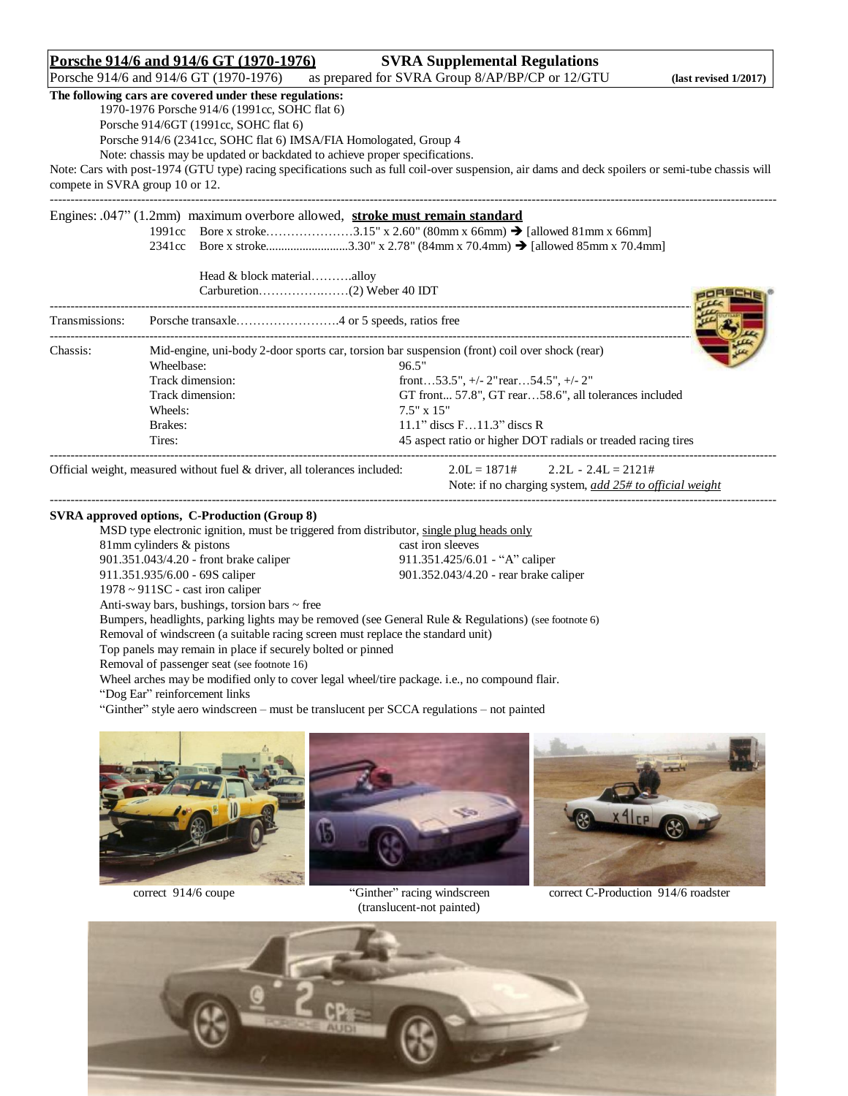**Porsche 914/6 and 914/6 GT (1970-1976)** SVRA Supplemental Regulations<br>Porsche 914/6 and 914/6 GT (1970-1976) as prepared for SVRA Group 8/AP/BP/CP or 12/GTU as prepared for SVRA Group 8/AP/BP/CP or 12/GTU **(last revised 1/2017)** 

ORSCHEN

# **The following cars are covered under these regulations:**

1970-1976 Porsche 914/6 (1991cc, SOHC flat 6)

Porsche 914/6GT (1991cc, SOHC flat 6)

Porsche 914/6 (2341cc, SOHC flat 6) IMSA/FIA Homologated, Group 4

Note: chassis may be updated or backdated to achieve proper specifications.

Note: Cars with post-1974 (GTU type) racing specifications such as full coil-over suspension, air dams and deck spoilers or semi-tube chassis will compete in SVRA group 10 or 12. -------------------------------------------------------------------------------------------------------------------------------------------------------------------------------

#### Engines: .047" (1.2mm) maximum overbore allowed, **stroke must remain standard**

1991cc Bore x stroke…………………3.15" x 2.60" (80mm x 66mm) [allowed 81mm x 66mm] 2341cc Bore x stroke................................3.30" x 2.78" (84mm x 70.4mm) → [allowed 85mm x 70.4mm]

Head & block material………..alloy Carburetion…………….……(2) Weber 40 IDT

|                  | Mid-engine, uni-body 2-door sports car, torsion bar suspension (front) coil over shock (rear) |
|------------------|-----------------------------------------------------------------------------------------------|
| Wheelbase:       | 96.5"                                                                                         |
| Track dimension: | front53.5", $+/- 2$ " rear54.5", $+/- 2$ "                                                    |
| Track dimension: | GT front 57.8", GT rear58.6", all tolerances included                                         |
| Wheels:          | $7.5"$ x $1.5"$                                                                               |
| Brakes:          | 11.1" discs $F11.3"$ discs R                                                                  |
| Tires:           | 45 aspect ratio or higher DOT radials or treaded racing tires                                 |
|                  |                                                                                               |

-------------------------------------------------------------------------------------------------------------------------------------------------------------------------------

Official weight, measured without fuel & driver, all tolerances included:  $2.0L = 1871#$   $2.2L - 2.4L = 2121#$ 

Note: if no charging system, *add 25# to official weight*

## **SVRA approved options, C-Production (Group 8)**

MSD type electronic ignition, must be triggered from distributor, single plug heads only 81mm cylinders & pistons cast iron sleeves 901.351.043/4.20 - front brake caliper 911.351.425/6.01 - "A" caliper 911.351.935/6.00 - 69S caliper 901.352.043/4.20 - rear brake caliper 1978 ~ 911SC - cast iron caliper Anti-sway bars, bushings, torsion bars  $\sim$  free Bumpers, headlights, parking lights may be removed (see General Rule & Regulations) (see footnote 6) Removal of windscreen (a suitable racing screen must replace the standard unit) Top panels may remain in place if securely bolted or pinned Removal of passenger seat (see footnote 16) Wheel arches may be modified only to cover legal wheel/tire package. i.e., no compound flair. "Dog Ear" reinforcement links

"Ginther" style aero windscreen – must be translucent per SCCA regulations – not painted



(translucent-not painted)